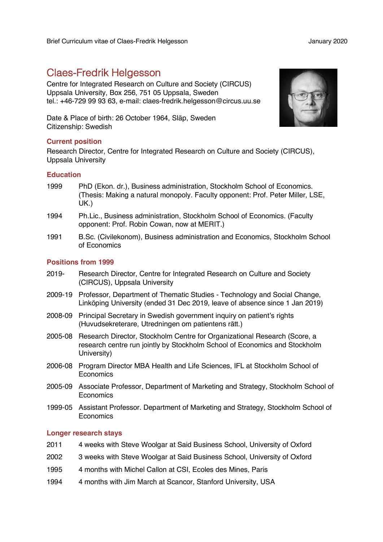# Claes-Fredrik Helgesson

Centre for Integrated Research on Culture and Society (CIRCUS) Uppsala University, Box 256, 751 05 Uppsala, Sweden tel.: +46-729 99 93 63, e-mail: claes-fredrik.helgesson@circus.uu.se

Date & Place of birth: 26 October 1964, Släp, Sweden Citizenship: Swedish

## **Current position**

Research Director, Centre for Integrated Research on Culture and Society (CIRCUS), Uppsala University

## **Education**

- 1999 PhD (Ekon. dr.), Business administration, Stockholm School of Economics. (Thesis: Making a natural monopoly. Faculty opponent: Prof. Peter Miller, LSE, UK.)
- 1994 Ph.Lic., Business administration, Stockholm School of Economics. (Faculty opponent: Prof. Robin Cowan, now at MERIT.)
- 1991 B.Sc. (Civilekonom), Business administration and Economics, Stockholm School of Economics

## **Positions from 1999**

- 2019- Research Director, Centre for Integrated Research on Culture and Society (CIRCUS), Uppsala University
- 2009-19 Professor, Department of Thematic Studies Technology and Social Change, Linköping University (ended 31 Dec 2019, leave of absence since 1 Jan 2019)
- 2008-09 Principal Secretary in Swedish government inquiry on patient's rights (Huvudsekreterare, Utredningen om patientens rätt.)
- 2005-08 Research Director, Stockholm Centre for Organizational Research (Score, a research centre run jointly by Stockholm School of Economics and Stockholm University)
- 2006-08 Program Director MBA Health and Life Sciences, IFL at Stockholm School of **Economics**
- 2005-09 Associate Professor, Department of Marketing and Strategy, Stockholm School of **Economics**
- 1999-05 Assistant Professor. Department of Marketing and Strategy, Stockholm School of Economics

## **Longer research stays**

- 2011 4 weeks with Steve Woolgar at Said Business School, University of Oxford
- 2002 3 weeks with Steve Woolgar at Said Business School, University of Oxford
- 1995 4 months with Michel Callon at CSI, Ecoles des Mines, Paris
- 1994 4 months with Jim March at Scancor, Stanford University, USA

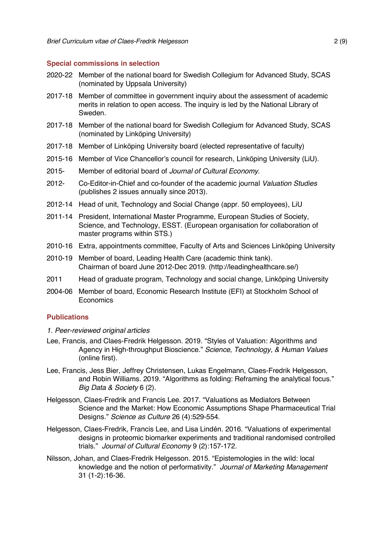#### **Special commissions in selection**

- 2020-22 Member of the national board for Swedish Collegium for Advanced Study, SCAS (nominated by Uppsala University)
- 2017-18 Member of committee in government inquiry about the assessment of academic merits in relation to open access. The inquiry is led by the National Library of Sweden.
- 2017-18 Member of the national board for Swedish Collegium for Advanced Study, SCAS (nominated by Linköping University)
- 2017-18 Member of Linköping University board (elected representative of faculty)
- 2015-16 Member of Vice Chancellor's council for research, Linköping University (LiU).
- 2015- Member of editorial board of *Journal of Cultural Economy*.
- 2012- Co-Editor-in-Chief and co-founder of the academic journal *Valuation Studies*  (publishes 2 issues annually since 2013).
- 2012-14 Head of unit, Technology and Social Change (appr. 50 employees), LiU
- 2011-14 President, International Master Programme, European Studies of Society, Science, and Technology, ESST. (European organisation for collaboration of master programs within STS.)
- 2010-16 Extra, appointments committee, Faculty of Arts and Sciences Linköping University
- 2010-19 Member of board, Leading Health Care (academic think tank). Chairman of board June 2012-Dec 2019. (http://leadinghealthcare.se/)
- 2011 Head of graduate program, Technology and social change, Linköping University
- 2004-06 Member of board, Economic Research Institute (EFI) at Stockholm School of **Economics**

## **Publications**

- *1. Peer-reviewed original articles*
- Lee, Francis, and Claes-Fredrik Helgesson. 2019. "Styles of Valuation: Algorithms and Agency in High-throughput Bioscience." *Science, Technology, & Human Values* (online first).
- Lee, Francis, Jess Bier, Jeffrey Christensen, Lukas Engelmann, Claes-Fredrik Helgesson, and Robin Williams. 2019. "Algorithms as folding: Reframing the analytical focus." *Big Data & Society* 6 (2).
- Helgesson, Claes-Fredrik and Francis Lee. 2017. "Valuations as Mediators Between Science and the Market: How Economic Assumptions Shape Pharmaceutical Trial Designs." *Science as Culture* 26 (4):529-554.
- Helgesson, Claes-Fredrik, Francis Lee, and Lisa Lindén. 2016. "Valuations of experimental designs in proteomic biomarker experiments and traditional randomised controlled trials." *Journal of Cultural Economy* 9 (2):157-172.
- Nilsson, Johan, and Claes-Fredrik Helgesson. 2015. "Epistemologies in the wild: local knowledge and the notion of performativity." *Journal of Marketing Management* 31 (1-2):16-36.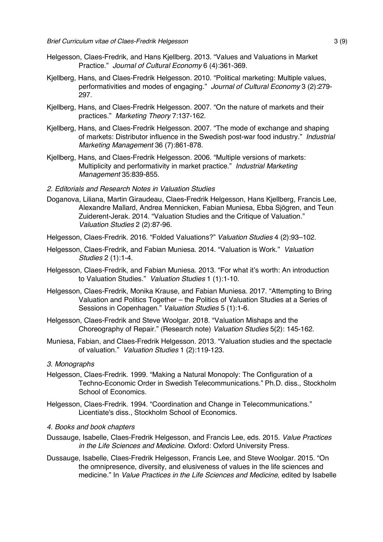- Helgesson, Claes-Fredrik, and Hans Kjellberg. 2013. "Values and Valuations in Market Practice." *Journal of Cultural Economy* 6 (4):361-369.
- Kjellberg, Hans, and Claes-Fredrik Helgesson. 2010. "Political marketing: Multiple values, performativities and modes of engaging." *Journal of Cultural Economy* 3 (2):279- 297.
- Kjellberg, Hans, and Claes-Fredrik Helgesson. 2007. "On the nature of markets and their practices." *Marketing Theory* 7:137-162.
- Kjellberg, Hans, and Claes-Fredrik Helgesson. 2007. "The mode of exchange and shaping of markets: Distributor influence in the Swedish post-war food industry." *Industrial Marketing Management* 36 (7):861-878.
- Kjellberg, Hans, and Claes-Fredrik Helgesson. 2006. "Multiple versions of markets: Multiplicity and performativity in market practice." *Industrial Marketing Management* 35:839-855.
- *2. Editorials and Research Notes in Valuation Studies*
- Doganova, Liliana, Martin Giraudeau, Claes-Fredrik Helgesson, Hans Kjellberg, Francis Lee, Alexandre Mallard, Andrea Mennicken, Fabian Muniesa, Ebba Sjögren, and Teun Zuiderent-Jerak. 2014. "Valuation Studies and the Critique of Valuation." *Valuation Studies* 2 (2):87-96.
- Helgesson, Claes-Fredrik. 2016. "Folded Valuations?" *Valuation Studies* 4 (2):93–102.
- Helgesson, Claes-Fredrik, and Fabian Muniesa. 2014. "Valuation is Work." *Valuation Studies* 2 (1):1-4.
- Helgesson, Claes-Fredrik, and Fabian Muniesa. 2013. "For what it's worth: An introduction to Valuation Studies." *Valuation Studies* 1 (1):1-10.
- Helgesson, Claes-Fredrik, Monika Krause, and Fabian Muniesa. 2017. "Attempting to Bring Valuation and Politics Together – the Politics of Valuation Studies at a Series of Sessions in Copenhagen." *Valuation Studies* 5 (1):1-6.
- Helgesson, Claes-Fredrik and Steve Woolgar. 2018. "Valuation Mishaps and the Choreography of Repair." (Research note) *Valuation Studies* 5(2): 145-162.
- Muniesa, Fabian, and Claes-Fredrik Helgesson. 2013. "Valuation studies and the spectacle of valuation." *Valuation Studies* 1 (2):119-123.

#### *3. Monographs*

- Helgesson, Claes-Fredrik. 1999. "Making a Natural Monopoly: The Configuration of a Techno-Economic Order in Swedish Telecommunications." Ph.D. diss., Stockholm School of Economics.
- Helgesson, Claes-Fredrik. 1994. "Coordination and Change in Telecommunications." Licentiate's diss., Stockholm School of Economics.

#### *4. Books and book chapters*

- Dussauge, Isabelle, Claes-Fredrik Helgesson, and Francis Lee, eds. 2015. *Value Practices in the Life Sciences and Medicine*. Oxford: Oxford University Press.
- Dussauge, Isabelle, Claes-Fredrik Helgesson, Francis Lee, and Steve Woolgar. 2015. "On the omnipresence, diversity, and elusiveness of values in the life sciences and medicine." In *Value Practices in the Life Sciences and Medicine*, edited by Isabelle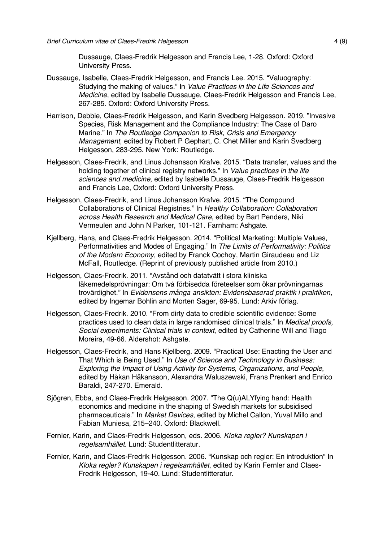Dussauge, Claes-Fredrik Helgesson and Francis Lee, 1-28. Oxford: Oxford University Press.

- Dussauge, Isabelle, Claes-Fredrik Helgesson, and Francis Lee. 2015. "Valuography: Studying the making of values." In *Value Practices in the Life Sciences and Medicine*, edited by Isabelle Dussauge, Claes-Fredrik Helgesson and Francis Lee, 267-285. Oxford: Oxford University Press.
- Harrison, Debbie, Claes-Fredrik Helgesson, and Karin Svedberg Helgesson. 2019. "Invasive Species, Risk Management and the Compliance Industry: The Case of Daro Marine." In *The Routledge Companion to Risk, Crisis and Emergency Management*, edited by Robert P Gephart, C. Chet Miller and Karin Svedberg Helgesson, 283-295. New York: Routledge.
- Helgesson, Claes-Fredrik, and Linus Johansson Krafve. 2015. "Data transfer, values and the holding together of clinical registry networks." In *Value practices in the life sciences and medicine*, edited by Isabelle Dussauge, Claes-Fredrik Helgesson and Francis Lee, Oxford: Oxford University Press.
- Helgesson, Claes-Fredrik, and Linus Johansson Krafve. 2015. "The Compound Collaborations of Clinical Registries." In *Healthy Collaboration: Collaboration across Health Research and Medical Care*, edited by Bart Penders, Niki Vermeulen and John N Parker, 101-121. Farnham: Ashgate.
- Kjellberg, Hans, and Claes-Fredrik Helgesson. 2014. "Political Marketing: Multiple Values, Performativities and Modes of Engaging." In *The Limits of Performativity: Politics of the Modern Economy*, edited by Franck Cochoy, Martin Giraudeau and Liz McFall, Routledge. (Reprint of previously published article from 2010.)
- Helgesson, Claes-Fredrik. 2011. "Avstånd och datatvätt i stora kliniska läkemedelsprövningar: Om två förbisedda företeelser som ökar prövningarnas trovärdighet." In *Evidensens många ansikten: Evidensbaserad praktik i praktiken*, edited by Ingemar Bohlin and Morten Sager, 69-95. Lund: Arkiv förlag.
- Helgesson, Claes-Fredrik. 2010. "From dirty data to credible scientific evidence: Some practices used to clean data in large randomised clinical trials." In *Medical proofs, Social experiments: Clinical trials in context*, edited by Catherine Will and Tiago Moreira, 49-66. Aldershot: Ashgate.
- Helgesson, Claes-Fredrik, and Hans Kjellberg. 2009. "Practical Use: Enacting the User and That Which is Being Used." In *Use of Science and Technology in Business: Exploring the Impact of Using Activity for Systems, Organizations, and People*, edited by Håkan Håkansson, Alexandra Waluszewski, Frans Prenkert and Enrico Baraldi, 247-270. Emerald.
- Sjögren, Ebba, and Claes-Fredrik Helgesson. 2007. "The Q(u)ALYfying hand: Health economics and medicine in the shaping of Swedish markets for subsidised pharmaceuticals." In *Market Devices*, edited by Michel Callon, Yuval Millo and Fabian Muniesa, 215–240. Oxford: Blackwell.
- Fernler, Karin, and Claes-Fredrik Helgesson, eds. 2006. *Kloka regler? Kunskapen i regelsamhället*. Lund: Studentlitteratur.
- Fernler, Karin, and Claes-Fredrik Helgesson. 2006. "Kunskap och regler: En introduktion" In *Kloka regler? Kunskapen i regelsamhället*, edited by Karin Fernler and Claes-Fredrik Helgesson, 19-40. Lund: Studentlitteratur.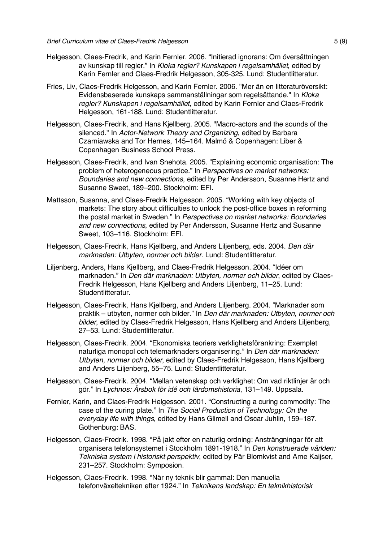- Helgesson, Claes-Fredrik, and Karin Fernler. 2006. "Initierad ignorans: Om översättningen av kunskap till regler." In *Kloka regler? Kunskapen i regelsamhället*, edited by Karin Fernler and Claes-Fredrik Helgesson, 305-325. Lund: Studentlitteratur.
- Fries, Liv, Claes-Fredrik Helgesson, and Karin Fernler. 2006. "Mer än en litteraturöversikt: Evidensbaserade kunskaps sammanställningar som regelsättande." In *Kloka regler? Kunskapen i regelsamhället*, edited by Karin Fernler and Claes-Fredrik Helgesson, 161-188. Lund: Studentlitteratur.
- Helgesson, Claes-Fredrik, and Hans Kjellberg. 2005. "Macro-actors and the sounds of the silenced." In *Actor-Network Theory and Organizing*, edited by Barbara Czarniawska and Tor Hernes, 145–164. Malmö & Copenhagen: Liber & Copenhagen Business School Press.
- Helgesson, Claes-Fredrik, and Ivan Snehota. 2005. "Explaining economic organisation: The problem of heterogeneous practice." In *Perspectives on market networks: Boundaries and new connections*, edited by Per Andersson, Susanne Hertz and Susanne Sweet, 189–200. Stockholm: EFI.
- Mattsson, Susanna, and Claes-Fredrik Helgesson. 2005. "Working with key objects of markets: The story about difficulties to unlock the post-office boxes in reforming the postal market in Sweden." In *Perspectives on market networks: Boundaries and new connections*, edited by Per Andersson, Susanne Hertz and Susanne Sweet, 103–116. Stockholm: EFI.
- Helgesson, Claes-Fredrik, Hans Kjellberg, and Anders Liljenberg, eds. 2004. *Den där marknaden: Utbyten, normer och bilder*. Lund: Studentlitteratur.
- Liljenberg, Anders, Hans Kjellberg, and Claes-Fredrik Helgesson. 2004. "Idéer om marknaden." In *Den där marknaden: Utbyten, normer och bilder*, edited by Claes-Fredrik Helgesson, Hans Kjellberg and Anders Liljenberg, 11–25. Lund: Studentlitteratur.
- Helgesson, Claes-Fredrik, Hans Kjellberg, and Anders Liljenberg. 2004. "Marknader som praktik – utbyten, normer och bilder." In *Den där marknaden: Utbyten, normer och bilder*, edited by Claes-Fredrik Helgesson, Hans Kjellberg and Anders Liljenberg, 27–53. Lund: Studentlitteratur.
- Helgesson, Claes-Fredrik. 2004. "Ekonomiska teoriers verklighetsförankring: Exemplet naturliga monopol och telemarknaders organisering." In *Den där marknaden: Utbyten, normer och bilder*, edited by Claes-Fredrik Helgesson, Hans Kjellberg and Anders Liljenberg, 55–75. Lund: Studentlitteratur.
- Helgesson, Claes-Fredrik. 2004. "Mellan vetenskap och verklighet: Om vad riktlinjer är och gör." In *Lychnos: Årsbok för idé och lärdomshistoria*, 131–149. Uppsala.
- Fernler, Karin, and Claes-Fredrik Helgesson. 2001. "Constructing a curing commodity: The case of the curing plate." In *The Social Production of Technology: On the everyday life with things*, edited by Hans Glimell and Oscar Juhlin, 159–187. Gothenburg: BAS.
- Helgesson, Claes-Fredrik. 1998. "På jakt efter en naturlig ordning: Ansträngningar för att organisera telefonsystemet i Stockholm 1891-1918." In *Den konstruerade världen: Tekniska system i historiskt perspektiv*, edited by Pär Blomkvist and Arne Kaijser, 231–257. Stockholm: Symposion.
- Helgesson, Claes-Fredrik. 1998. "När ny teknik blir gammal: Den manuella telefonväxeltekniken efter 1924." In *Teknikens landskap: En teknikhistorisk*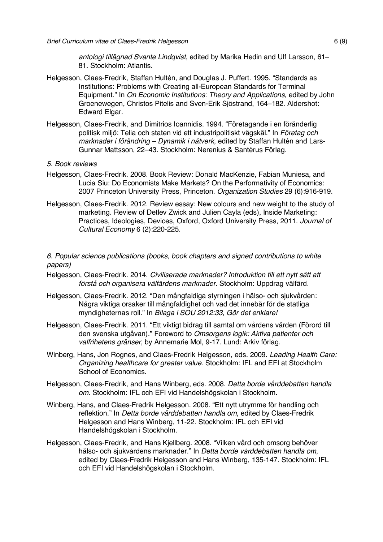*antologi tillägnad Svante Lindqvist*, edited by Marika Hedin and Ulf Larsson, 61– 81. Stockholm: Atlantis.

- Helgesson, Claes-Fredrik, Staffan Hultén, and Douglas J. Puffert. 1995. "Standards as Institutions: Problems with Creating all-European Standards for Terminal Equipment." In *On Economic Institutions: Theory and Applications*, edited by John Groenewegen, Christos Pitelis and Sven-Erik Sjöstrand, 164–182. Aldershot: Edward Elgar.
- Helgesson, Claes-Fredrik, and Dimitrios Ioannidis. 1994. "Företagande i en föränderlig politisk miljö: Telia och staten vid ett industripolitiskt vägskäl." In *Företag och marknader i förändring – Dynamik i nätverk*, edited by Staffan Hultén and Lars-Gunnar Mattsson, 22–43. Stockholm: Nerenius & Santérus Förlag.
- *5. Book reviews*
- Helgesson, Claes-Fredrik. 2008. Book Review: Donald MacKenzie, Fabian Muniesa, and Lucia Siu: Do Economists Make Markets? On the Performativity of Economics: 2007 Princeton University Press, Princeton. *Organization Studies* 29 (6):916-919.
- Helgesson, Claes-Fredrik. 2012. Review essay: New colours and new weight to the study of marketing. Review of Detlev Zwick and Julien Cayla (eds), Inside Marketing: Practices, Ideologies, Devices, Oxford, Oxford University Press, 2011. *Journal of Cultural Economy* 6 (2):220-225.

*6. Popular science publications (books, book chapters and signed contributions to white papers)*

- Helgesson, Claes-Fredrik. 2014. *Civiliserade marknader? Introduktion till ett nytt sätt att förstå och organisera välfärdens marknader*. Stockholm: Uppdrag välfärd.
- Helgesson, Claes-Fredrik. 2012. "Den mångfaldiga styrningen i hälso- och sjukvården: Några viktiga orsaker till mångfaldighet och vad det innebär för de statliga myndigheternas roll." In *Bilaga i SOU 2012:33, Gör det enklare!*
- Helgesson, Claes-Fredrik. 2011. "Ett viktigt bidrag till samtal om vårdens värden (Förord till den svenska utgåvan)." Foreword to *Omsorgens logik: Aktiva patienter och valfrihetens gränser*, by Annemarie Mol, 9-17. Lund: Arkiv förlag.
- Winberg, Hans, Jon Rognes, and Claes-Fredrik Helgesson, eds. 2009. *Leading Health Care: Organizing healthcare for greater value*. Stockholm: IFL and EFI at Stockholm School of Economics.
- Helgesson, Claes-Fredrik, and Hans Winberg, eds. 2008. *Detta borde vårddebatten handla om*. Stockholm: IFL och EFI vid Handelshögskolan i Stockholm.
- Winberg, Hans, and Claes-Fredrik Helgesson. 2008. "Ett nytt utrymme för handling och reflektion." In *Detta borde vårddebatten handla om*, edited by Claes-Fredrik Helgesson and Hans Winberg, 11-22. Stockholm: IFL och EFI vid Handelshögskolan i Stockholm.
- Helgesson, Claes-Fredrik, and Hans Kjellberg. 2008. "Vilken vård och omsorg behöver hälso- och sjukvårdens marknader." In *Detta borde vårddebatten handla om*, edited by Claes-Fredrik Helgesson and Hans Winberg, 135-147. Stockholm: IFL och EFI vid Handelshögskolan i Stockholm.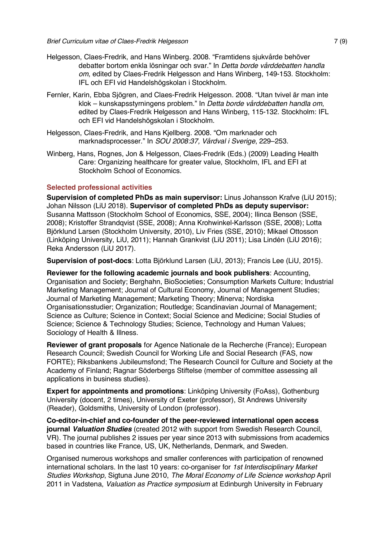- Helgesson, Claes-Fredrik, and Hans Winberg. 2008. "Framtidens sjukvårde behöver debatter bortom enkla lösningar och svar." In *Detta borde vårddebatten handla om*, edited by Claes-Fredrik Helgesson and Hans Winberg, 149-153. Stockholm: IFL och EFI vid Handelshögskolan i Stockholm.
- Fernler, Karin, Ebba Sjögren, and Claes-Fredrik Helgesson. 2008. "Utan tvivel är man inte klok – kunskapsstyrningens problem." In *Detta borde vårddebatten handla om*, edited by Claes-Fredrik Helgesson and Hans Winberg, 115-132. Stockholm: IFL och EFI vid Handelshögskolan i Stockholm.
- Helgesson, Claes-Fredrik, and Hans Kjellberg. 2008. "Om marknader och marknadsprocesser." In *SOU 2008:37, Vårdval i Sverige*, 229–253.
- Winberg, Hans, Rognes, Jon & Helgesson, Claes-Fredrik (Eds.) (2009) Leading Health Care: Organizing healthcare for greater value, Stockholm, IFL and EFI at Stockholm School of Economics.

#### **Selected professional activities**

**Supervision of completed PhDs as main supervisor:** Linus Johansson Krafve (LiU 2015); Johan Nilsson (LiU 2018). **Supervisor of completed PhDs as deputy supervisor:**  Susanna Mattsson (Stockholm School of Economics, SSE, 2004); Ilinca Benson (SSE, 2008); Kristoffer Strandqvist (SSE, 2008); Anna Krohwinkel-Karlsson (SSE, 2008); Lotta Björklund Larsen (Stockholm University, 2010), Liv Fries (SSE, 2010); Mikael Ottosson (Linköping University, LiU, 2011); Hannah Grankvist (LiU 2011); Lisa Lindén (LiU 2016); Reka Andersson (LiU 2017).

**Supervision of post-docs**: Lotta Björklund Larsen (LiU, 2013); Francis Lee (LiU, 2015).

**Reviewer for the following academic journals and book publishers**: Accounting, Organisation and Society; Berghahn, BioSocieties; Consumption Markets Culture; Industrial Marketing Management; Journal of Cultural Economy, Journal of Management Studies; Journal of Marketing Management; Marketing Theory; Minerva; Nordiska Organisationsstudier; Organization; Routledge; Scandinavian Journal of Management; Science as Culture; Science in Context; Social Science and Medicine; Social Studies of Science; Science & Technology Studies; Science, Technology and Human Values; Sociology of Health & Illness.

**Reviewer of grant proposals** for Agence Nationale de la Recherche (France); European Research Council; Swedish Council for Working Life and Social Research (FAS, now FORTE); Riksbankens Jubileumsfond; The Research Council for Culture and Society at the Academy of Finland; Ragnar Söderbergs Stiftelse (member of committee assessing all applications in business studies).

**Expert for appointments and promotions**: Linköping University (FoAss), Gothenburg University (docent, 2 times), University of Exeter (professor), St Andrews University (Reader), Goldsmiths, University of London (professor).

**Co-editor-in-chief and co-founder of the peer-reviewed international open access journal** *Valuation Studies* (created 2012 with support from Swedish Research Council, VR). The journal publishes 2 issues per year since 2013 with submissions from academics based in countries like France, US, UK, Netherlands, Denmark, and Sweden.

Organised numerous workshops and smaller conferences with participation of renowned international scholars. In the last 10 years: co-organiser for *1st Interdisciplinary Market Studies Workshop*, Sigtuna June 2010, *The Moral Economy of Life Science workshop* April 2011 in Vadstena, *Valuation as Practice symposium* at Edinburgh University in February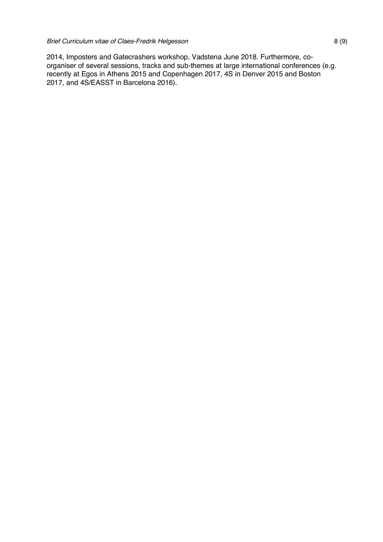2014, Imposters and Gatecrashers workshop, Vadstena June 2018. Furthermore, coorganiser of several sessions, tracks and sub-themes at large international conferences (e.g. recently at Egos in Athens 2015 and Copenhagen 2017, 4S in Denver 2015 and Boston 2017, and 4S/EASST in Barcelona 2016).